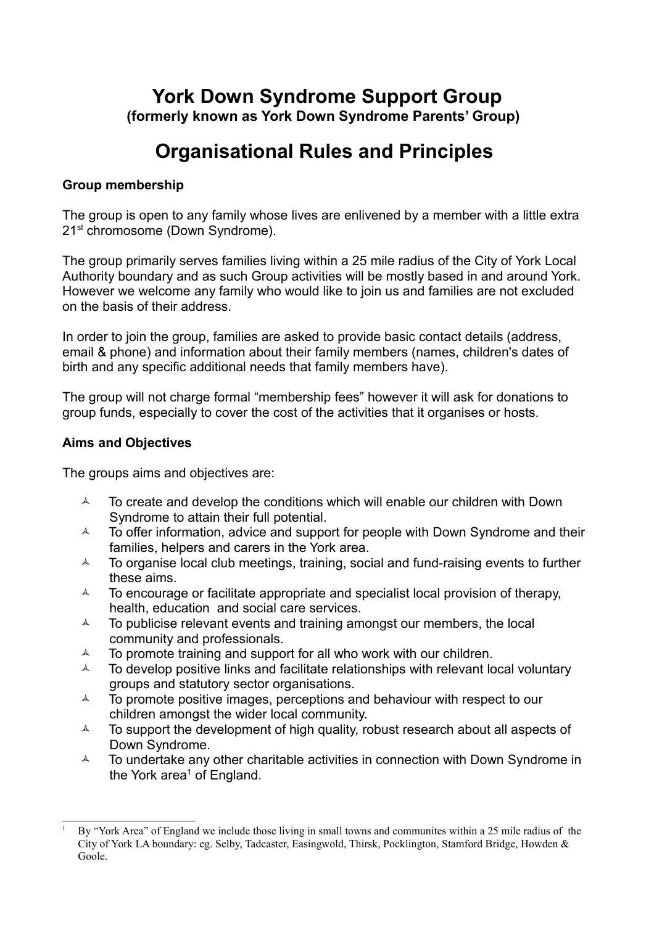# **York Down Syndrome Support Group (formerly known as York Down Syndrome Parents' Group)**

# **Organisational Rules and Principles**

# **Group membership**

The group is open to any family whose lives are enlivened by a member with a little extra 21<sup>st</sup> chromosome (Down Syndrome).

The group primarily serves families living within a 25 mile radius of the City of York Local Authority boundary and as such Group activities will be mostly based in and around York. However we welcome any family who would like to join us and families are not excluded on the basis of their address.

In order to join the group, families are asked to provide basic contact details (address, email & phone) and information about their family members (names, children's dates of birth and any specific additional needs that family members have).

The group will not charge formal "membership fees" however it will ask for donations to group funds, especially to cover the cost of the activities that it organises or hosts.

# **Aims and Objectives**

The groups aims and objectives are:

- $\lambda$  To create and develop the conditions which will enable our children with Down Syndrome to attain their full potential.
- $\lambda$  To offer information, advice and support for people with Down Syndrome and their families, helpers and carers in the York area.
- $\lambda$  To organise local club meetings, training, social and fund-raising events to further these aims.
- $\lambda$  To encourage or facilitate appropriate and specialist local provision of therapy, health, education and social care services.
- $\lambda$  To publicise relevant events and training amongst our members, the local community and professionals.
- $\lambda$  To promote training and support for all who work with our children.
- $\lambda$  To develop positive links and facilitate relationships with relevant local voluntary groups and statutory sector organisations.
- $\lambda$  To promote positive images, perceptions and behaviour with respect to our children amongst the wider local community.
- $\triangle$  To support the development of high quality, robust research about all aspects of Down Syndrome.
- $\lambda$  To undertake any other charitable activities in connection with Down Syndrome in the York area<sup>[1](#page-0-0)</sup> of England.

<span id="page-0-0"></span><sup>1</sup> By "York Area" of England we include those living in small towns and communites within a 25 mile radius of the City of York LA boundary: eg. Selby, Tadcaster, Easingwold, Thirsk, Pocklington, Stamford Bridge, Howden & Goole.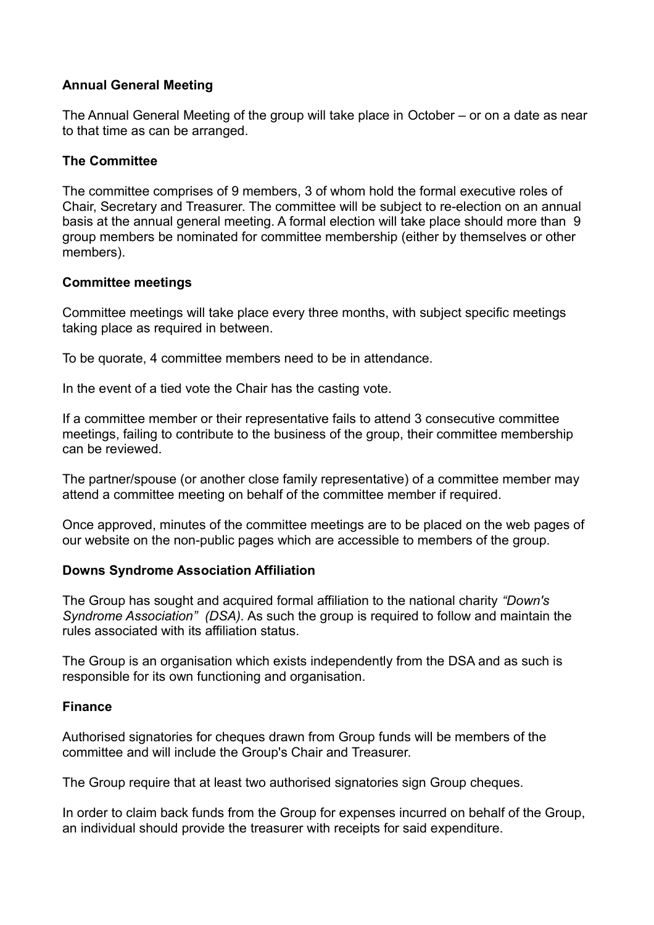# **Annual General Meeting**

The Annual General Meeting of the group will take place in October – or on a date as near to that time as can be arranged.

# **The Committee**

The committee comprises of 9 members, 3 of whom hold the formal executive roles of Chair, Secretary and Treasurer. The committee will be subject to re-election on an annual basis at the annual general meeting. A formal election will take place should more than 9 group members be nominated for committee membership (either by themselves or other members).

# **Committee meetings**

Committee meetings will take place every three months, with subject specific meetings taking place as required in between.

To be quorate, 4 committee members need to be in attendance.

In the event of a tied vote the Chair has the casting vote.

If a committee member or their representative fails to attend 3 consecutive committee meetings, failing to contribute to the business of the group, their committee membership can be reviewed.

The partner/spouse (or another close family representative) of a committee member may attend a committee meeting on behalf of the committee member if required.

Once approved, minutes of the committee meetings are to be placed on the web pages of our website on the non-public pages which are accessible to members of the group.

#### **Downs Syndrome Association Affiliation**

The Group has sought and acquired formal affiliation to the national charity *"Down's Syndrome Association" (DSA).* As such the group is required to follow and maintain the rules associated with its affiliation status.

The Group is an organisation which exists independently from the DSA and as such is responsible for its own functioning and organisation.

# **Finance**

Authorised signatories for cheques drawn from Group funds will be members of the committee and will include the Group's Chair and Treasurer.

The Group require that at least two authorised signatories sign Group cheques.

In order to claim back funds from the Group for expenses incurred on behalf of the Group, an individual should provide the treasurer with receipts for said expenditure.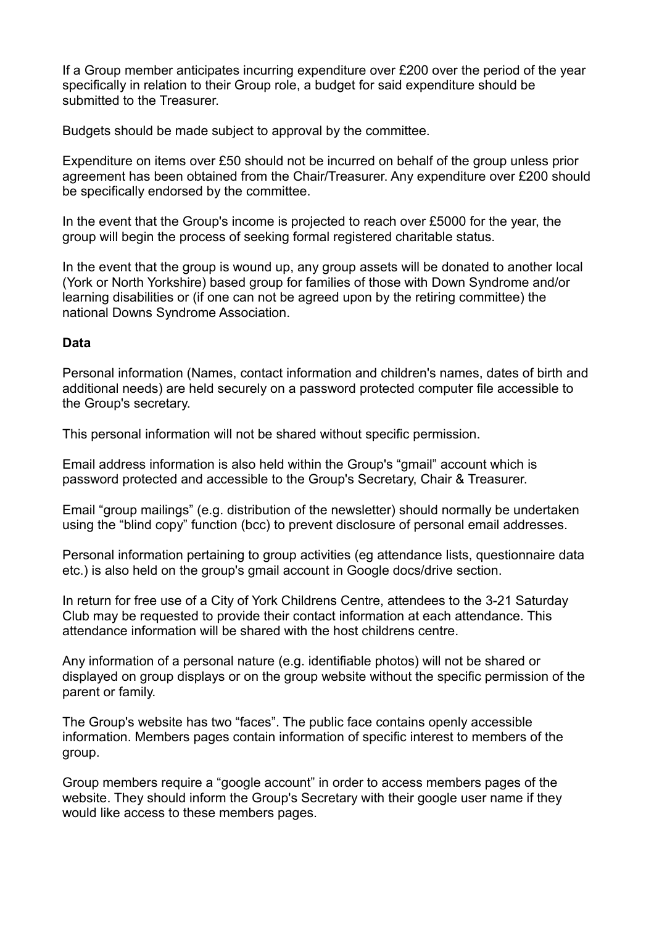If a Group member anticipates incurring expenditure over £200 over the period of the year specifically in relation to their Group role, a budget for said expenditure should be submitted to the Treasurer.

Budgets should be made subject to approval by the committee.

Expenditure on items over £50 should not be incurred on behalf of the group unless prior agreement has been obtained from the Chair/Treasurer. Any expenditure over £200 should be specifically endorsed by the committee.

In the event that the Group's income is projected to reach over £5000 for the year, the group will begin the process of seeking formal registered charitable status.

In the event that the group is wound up, any group assets will be donated to another local (York or North Yorkshire) based group for families of those with Down Syndrome and/or learning disabilities or (if one can not be agreed upon by the retiring committee) the national Downs Syndrome Association.

#### **Data**

Personal information (Names, contact information and children's names, dates of birth and additional needs) are held securely on a password protected computer file accessible to the Group's secretary.

This personal information will not be shared without specific permission.

Email address information is also held within the Group's "gmail" account which is password protected and accessible to the Group's Secretary, Chair & Treasurer.

Email "group mailings" (e.g. distribution of the newsletter) should normally be undertaken using the "blind copy" function (bcc) to prevent disclosure of personal email addresses.

Personal information pertaining to group activities (eg attendance lists, questionnaire data etc.) is also held on the group's gmail account in Google docs/drive section.

In return for free use of a City of York Childrens Centre, attendees to the 3-21 Saturday Club may be requested to provide their contact information at each attendance. This attendance information will be shared with the host childrens centre.

Any information of a personal nature (e.g. identifiable photos) will not be shared or displayed on group displays or on the group website without the specific permission of the parent or family.

The Group's website has two "faces". The public face contains openly accessible information. Members pages contain information of specific interest to members of the group.

Group members require a "google account" in order to access members pages of the website. They should inform the Group's Secretary with their google user name if they would like access to these members pages.